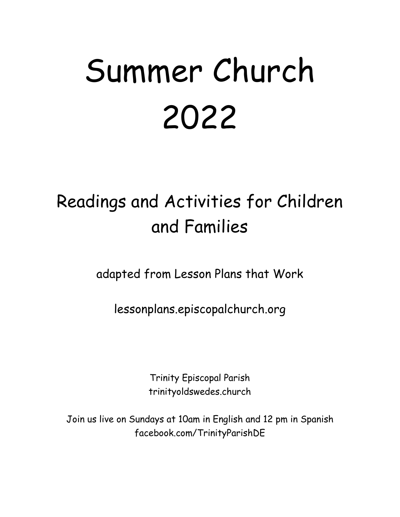# Summer Church 2022

# Readings and Activities for Children and Families

adapted from Lesson Plans that Work

lessonplans.episcopalchurch.org

Trinity Episcopal Parish trinityoldswedes.church

Join us live on Sundays at 10am in English and 12 pm in Spanish facebook.com/TrinityParishDE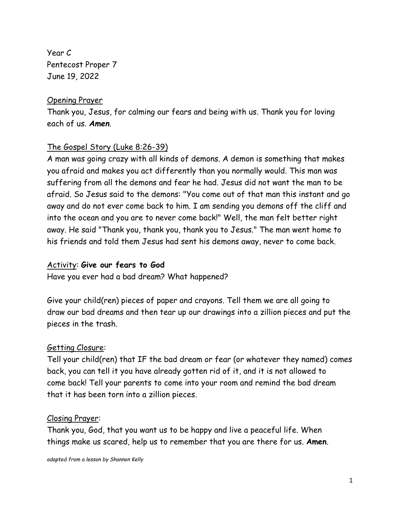Year C Pentecost Proper 7 June 19, 2022

## Opening Prayer

Thank you, Jesus, for calming our fears and being with us. Thank you for loving each of us. *Amen*.

# The Gospel Story (Luke 8:26-39)

A man was going crazy with all kinds of demons. A demon is something that makes you afraid and makes you act differently than you normally would. This man was suffering from all the demons and fear he had. Jesus did not want the man to be afraid. So Jesus said to the demons: "You come out of that man this instant and go away and do not ever come back to him. I am sending you demons off the cliff and into the ocean and you are to never come back!" Well, the man felt better right away. He said "Thank you, thank you, thank you to Jesus." The man went home to his friends and told them Jesus had sent his demons away, never to come back.

## Activity: **Give our fears to God**

Have you ever had a bad dream? What happened?

Give your child(ren) pieces of paper and crayons. Tell them we are all going to draw our bad dreams and then tear up our drawings into a zillion pieces and put the pieces in the trash.

#### Getting Closure:

Tell your child(ren) that IF the bad dream or fear (or whatever they named) comes back, you can tell it you have already gotten rid of it, and it is not allowed to come back! Tell your parents to come into your room and remind the bad dream that it has been torn into a zillion pieces.

#### Closing Prayer:

Thank you, God, that you want us to be happy and live a peaceful life. When things make us scared, help us to remember that you are there for us. **Amen**.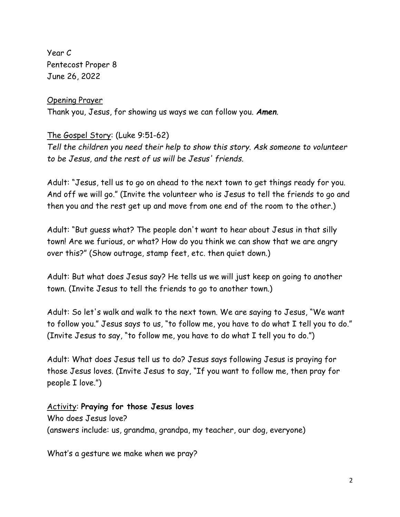Year C Pentecost Proper 8 June 26, 2022

#### Opening Prayer

Thank you, Jesus, for showing us ways we can follow you. *Amen*.

# The Gospel Story: (Luke 9:51-62)

*Tell the children you need their help to show this story. Ask someone to volunteer to be Jesus, and the rest of us will be Jesus' friends.*

Adult: "Jesus, tell us to go on ahead to the next town to get things ready for you. And off we will go." (Invite the volunteer who is Jesus to tell the friends to go and then you and the rest get up and move from one end of the room to the other.)

Adult: "But guess what? The people don't want to hear about Jesus in that silly town! Are we furious, or what? How do you think we can show that we are angry over this?" (Show outrage, stamp feet, etc. then quiet down.)

Adult: But what does Jesus say? He tells us we will just keep on going to another town. (Invite Jesus to tell the friends to go to another town.)

Adult: So let's walk and walk to the next town. We are saying to Jesus, "We want to follow you." Jesus says to us, "to follow me, you have to do what I tell you to do." (Invite Jesus to say, "to follow me, you have to do what I tell you to do.")

Adult: What does Jesus tell us to do? Jesus says following Jesus is praying for those Jesus loves. (Invite Jesus to say, "If you want to follow me, then pray for people I love.")

# Activity: **Praying for those Jesus loves** Who does Jesus love?

(answers include: us, grandma, grandpa, my teacher, our dog, everyone)

What's a gesture we make when we pray?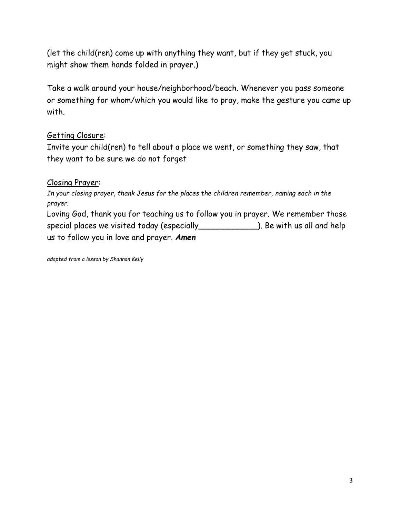(let the child(ren) come up with anything they want, but if they get stuck, you might show them hands folded in prayer.)

Take a walk around your house/neighborhood/beach. Whenever you pass someone or something for whom/which you would like to pray, make the gesture you came up with.

# Getting Closure:

Invite your child(ren) to tell about a place we went, or something they saw, that they want to be sure we do not forget

# Closing Prayer:

*In your closing prayer, thank Jesus for the places the children remember, naming each in the prayer.*

Loving God, thank you for teaching us to follow you in prayer. We remember those special places we visited today (especially\_\_\_\_\_\_\_\_\_\_\_\_). Be with us all and help us to follow you in love and prayer. *Amen*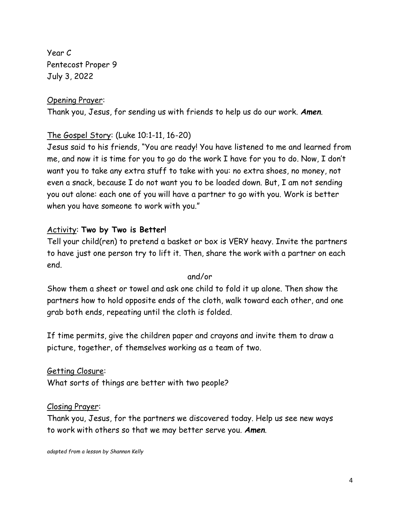Year C Pentecost Proper 9 July 3, 2022

#### Opening Prayer:

Thank you, Jesus, for sending us with friends to help us do our work. *Amen*.

## The Gospel Story: (Luke 10:1-11, 16-20)

Jesus said to his friends, "You are ready! You have listened to me and learned from me, and now it is time for you to go do the work I have for you to do. Now, I don't want you to take any extra stuff to take with you: no extra shoes, no money, not even a snack, because I do not want you to be loaded down. But, I am not sending you out alone: each one of you will have a partner to go with you. Work is better when you have someone to work with you."

## Activity: **Two by Two is Better!**

Tell your child(ren) to pretend a basket or box is VERY heavy. Invite the partners to have just one person try to lift it. Then, share the work with a partner on each end.

#### and/or

Show them a sheet or towel and ask one child to fold it up alone. Then show the partners how to hold opposite ends of the cloth, walk toward each other, and one grab both ends, repeating until the cloth is folded.

If time permits, give the children paper and crayons and invite them to draw a picture, together, of themselves working as a team of two.

## Getting Closure:

What sorts of things are better with two people?

#### Closing Prayer:

Thank you, Jesus, for the partners we discovered today. Help us see new ways to work with others so that we may better serve you. *Amen*.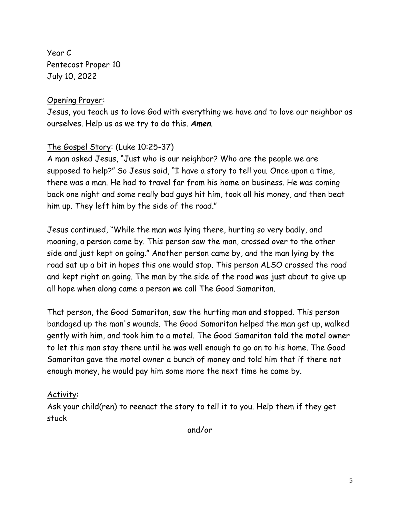Year C Pentecost Proper 10 July 10, 2022

# Opening Prayer:

Jesus, you teach us to love God with everything we have and to love our neighbor as ourselves. Help us as we try to do this. *Amen*.

# The Gospel Story: (Luke 10:25-37)

A man asked Jesus, "Just who is our neighbor? Who are the people we are supposed to help?" So Jesus said, "I have a story to tell you. Once upon a time, there was a man. He had to travel far from his home on business. He was coming back one night and some really bad guys hit him, took all his money, and then beat him up. They left him by the side of the road."

Jesus continued, "While the man was lying there, hurting so very badly, and moaning, a person came by. This person saw the man, crossed over to the other side and just kept on going." Another person came by, and the man lying by the road sat up a bit in hopes this one would stop. This person ALSO crossed the road and kept right on going. The man by the side of the road was just about to give up all hope when along came a person we call The Good Samaritan.

That person, the Good Samaritan, saw the hurting man and stopped. This person bandaged up the man's wounds. The Good Samaritan helped the man get up, walked gently with him, and took him to a motel. The Good Samaritan told the motel owner to let this man stay there until he was well enough to go on to his home. The Good Samaritan gave the motel owner a bunch of money and told him that if there not enough money, he would pay him some more the next time he came by.

# Activity:

Ask your child(ren) to reenact the story to tell it to you. Help them if they get stuck

and/or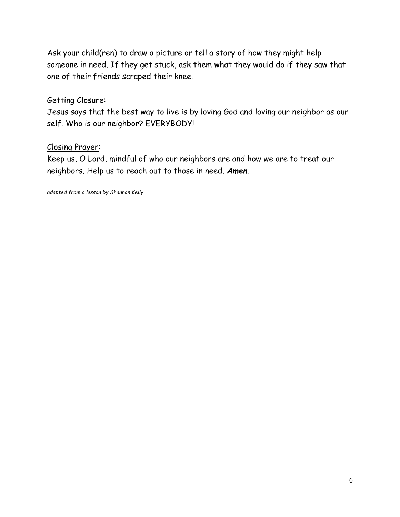Ask your child(ren) to draw a picture or tell a story of how they might help someone in need. If they get stuck, ask them what they would do if they saw that one of their friends scraped their knee.

## Getting Closure:

Jesus says that the best way to live is by loving God and loving our neighbor as our self. Who is our neighbor? EVERYBODY!

# Closing Prayer:

Keep us, O Lord, mindful of who our neighbors are and how we are to treat our neighbors. Help us to reach out to those in need. *Amen*.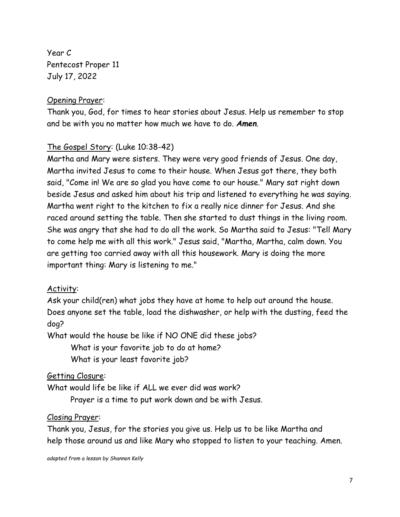Year C Pentecost Proper 11 July 17, 2022

## Opening Prayer:

Thank you, God, for times to hear stories about Jesus. Help us remember to stop and be with you no matter how much we have to do. *Amen*.

# The Gospel Story: (Luke 10:38-42)

Martha and Mary were sisters. They were very good friends of Jesus. One day, Martha invited Jesus to come to their house. When Jesus got there, they both said, "Come in! We are so glad you have come to our house." Mary sat right down beside Jesus and asked him about his trip and listened to everything he was saying. Martha went right to the kitchen to fix a really nice dinner for Jesus. And she raced around setting the table. Then she started to dust things in the living room. She was angry that she had to do all the work. So Martha said to Jesus: "Tell Mary to come help me with all this work." Jesus said, "Martha, Martha, calm down. You are getting too carried away with all this housework. Mary is doing the more important thing: Mary is listening to me."

## Activity:

Ask your child(ren) what jobs they have at home to help out around the house. Does anyone set the table, load the dishwasher, or help with the dusting, feed the dog?

What would the house be like if NO ONE did these jobs?

What is your favorite job to do at home? What is your least favorite job?

# Getting Closure:

What would life be like if ALL we ever did was work?

Prayer is a time to put work down and be with Jesus.

# Closing Prayer:

Thank you, Jesus, for the stories you give us. Help us to be like Martha and help those around us and like Mary who stopped to listen to your teaching. Amen.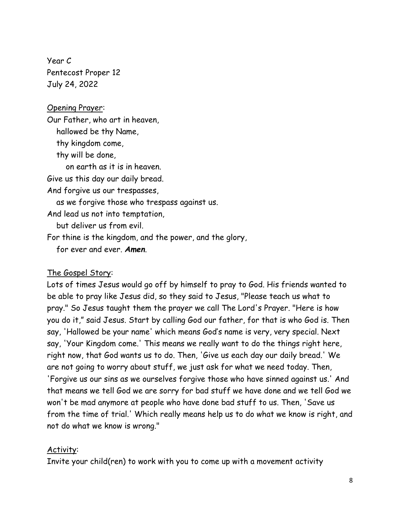Year C Pentecost Proper 12 July 24, 2022

#### Opening Prayer:

Our Father, who art in heaven, hallowed be thy Name, thy kingdom come, thy will be done, on earth as it is in heaven. Give us this day our daily bread. And forgive us our trespasses, as we forgive those who trespass against us. And lead us not into temptation, but deliver us from evil. For thine is the kingdom, and the power, and the glory, for ever and ever. *Amen*.

## The Gospel Story:

Lots of times Jesus would go off by himself to pray to God. His friends wanted to be able to pray like Jesus did, so they said to Jesus, "Please teach us what to pray." So Jesus taught them the prayer we call The Lord's Prayer. "Here is how you do it," said Jesus. Start by calling God our father, for that is who God is. Then say, 'Hallowed be your name' which means God's name is very, very special. Next say, 'Your Kingdom come.' This means we really want to do the things right here, right now, that God wants us to do. Then, 'Give us each day our daily bread.' We are not going to worry about stuff, we just ask for what we need today. Then, 'Forgive us our sins as we ourselves forgive those who have sinned against us.' And that means we tell God we are sorry for bad stuff we have done and we tell God we won't be mad anymore at people who have done bad stuff to us. Then, 'Save us from the time of trial.' Which really means help us to do what we know is right, and not do what we know is wrong."

## Activity:

Invite your child(ren) to work with you to come up with a movement activity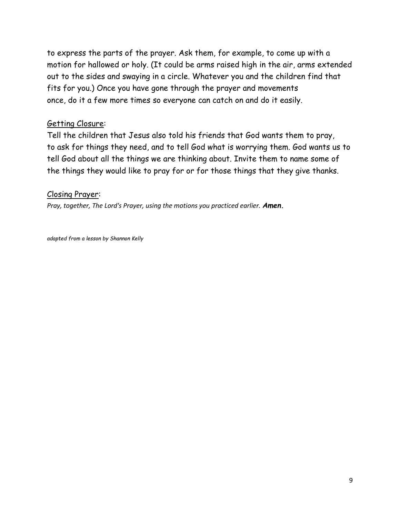to express the parts of the prayer. Ask them, for example, to come up with a motion for hallowed or holy. (It could be arms raised high in the air, arms extended out to the sides and swaying in a circle. Whatever you and the children find that fits for you.) Once you have gone through the prayer and movements once, do it a few more times so everyone can catch on and do it easily.

# Getting Closure:

Tell the children that Jesus also told his friends that God wants them to pray, to ask for things they need, and to tell God what is worrying them. God wants us to tell God about all the things we are thinking about. Invite them to name some of the things they would like to pray for or for those things that they give thanks.

## Closing Prayer:

*Pray, together, The Lord's Prayer, using the motions you practiced earlier. Amen.*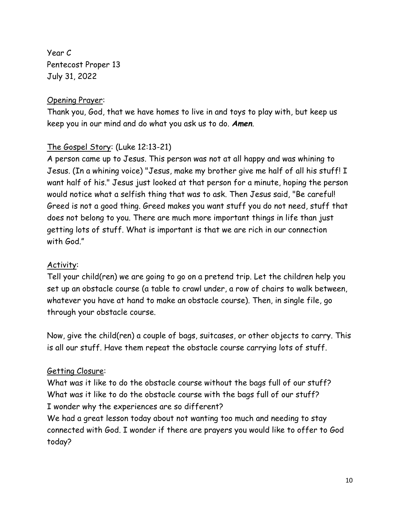Year C Pentecost Proper 13 July 31, 2022

# Opening Prayer:

Thank you, God, that we have homes to live in and toys to play with, but keep us keep you in our mind and do what you ask us to do. *Amen*.

# The Gospel Story: (Luke 12:13-21)

A person came up to Jesus. This person was not at all happy and was whining to Jesus. (In a whining voice) "Jesus, make my brother give me half of all his stuff! I want half of his." Jesus just looked at that person for a minute, hoping the person would notice what a selfish thing that was to ask. Then Jesus said, "Be careful! Greed is not a good thing. Greed makes you want stuff you do not need, stuff that does not belong to you. There are much more important things in life than just getting lots of stuff. What is important is that we are rich in our connection with God."

# Activity:

Tell your child(ren) we are going to go on a pretend trip. Let the children help you set up an obstacle course (a table to crawl under, a row of chairs to walk between, whatever you have at hand to make an obstacle course). Then, in single file, go through your obstacle course.

Now, give the child(ren) a couple of bags, suitcases, or other objects to carry. This is all our stuff. Have them repeat the obstacle course carrying lots of stuff.

# Getting Closure:

What was it like to do the obstacle course without the bags full of our stuff? What was it like to do the obstacle course with the bags full of our stuff? I wonder why the experiences are so different?

We had a great lesson today about not wanting too much and needing to stay connected with God. I wonder if there are prayers you would like to offer to God today?